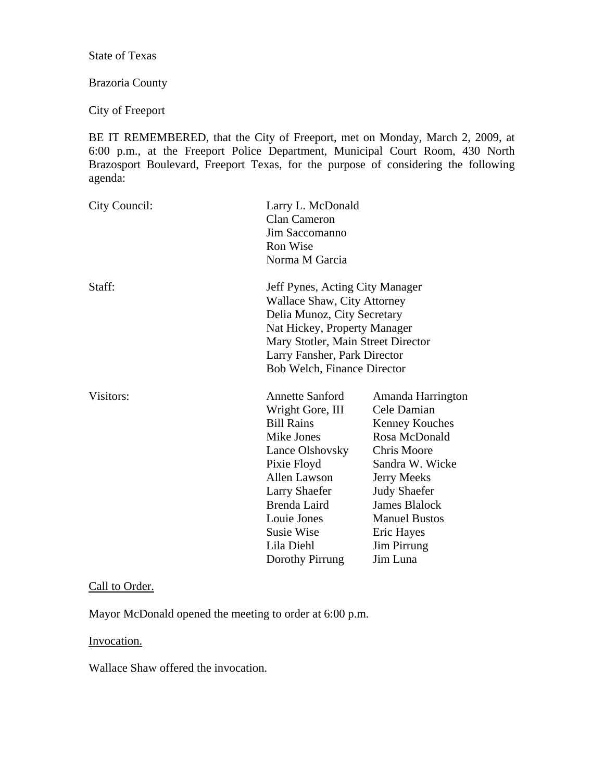State of Texas

# Brazoria County

City of Freeport

BE IT REMEMBERED, that the City of Freeport, met on Monday, March 2, 2009, at 6:00 p.m., at the Freeport Police Department, Municipal Court Room, 430 North Brazosport Boulevard, Freeport Texas, for the purpose of considering the following agenda:

| City Council: | <b>Clan Cameron</b><br>Jim Saccomanno<br><b>Ron Wise</b><br>Norma M Garcia                                                                                                                                                                       | Larry L. McDonald                                                                                                                                                                                                                                  |  |
|---------------|--------------------------------------------------------------------------------------------------------------------------------------------------------------------------------------------------------------------------------------------------|----------------------------------------------------------------------------------------------------------------------------------------------------------------------------------------------------------------------------------------------------|--|
| Staff:        | Jeff Pynes, Acting City Manager<br><b>Wallace Shaw, City Attorney</b><br>Delia Munoz, City Secretary<br>Nat Hickey, Property Manager<br>Mary Stotler, Main Street Director<br>Larry Fansher, Park Director<br><b>Bob Welch, Finance Director</b> |                                                                                                                                                                                                                                                    |  |
| Visitors:     | <b>Annette Sanford</b><br>Wright Gore, III<br><b>Bill Rains</b><br>Mike Jones<br>Lance Olshovsky<br>Pixie Floyd<br><b>Allen Lawson</b><br>Larry Shaefer<br>Brenda Laird<br>Louie Jones<br>Susie Wise<br>Lila Diehl<br>Dorothy Pirrung            | Amanda Harrington<br>Cele Damian<br><b>Kenney Kouches</b><br>Rosa McDonald<br>Chris Moore<br>Sandra W. Wicke<br>Jerry Meeks<br><b>Judy Shaefer</b><br><b>James Blalock</b><br><b>Manuel Bustos</b><br>Eric Hayes<br><b>Jim Pirrung</b><br>Jim Luna |  |

## Call to Order.

Mayor McDonald opened the meeting to order at 6:00 p.m.

### Invocation.

Wallace Shaw offered the invocation.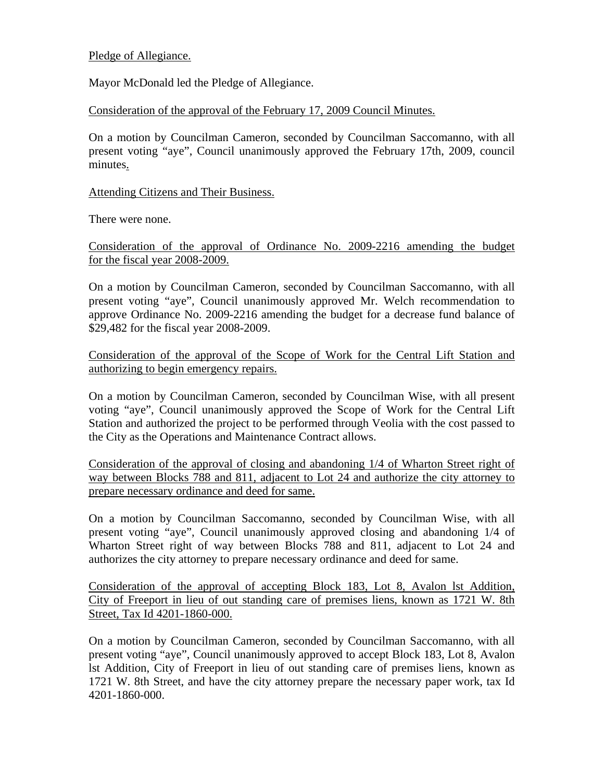### Pledge of Allegiance.

Mayor McDonald led the Pledge of Allegiance.

Consideration of the approval of the February 17, 2009 Council Minutes.

On a motion by Councilman Cameron, seconded by Councilman Saccomanno, with all present voting "aye", Council unanimously approved the February 17th, 2009, council minutes.

### Attending Citizens and Their Business.

There were none.

Consideration of the approval of Ordinance No. 2009-2216 amending the budget for the fiscal year 2008-2009.

On a motion by Councilman Cameron, seconded by Councilman Saccomanno, with all present voting "aye", Council unanimously approved Mr. Welch recommendation to approve Ordinance No. 2009-2216 amending the budget for a decrease fund balance of \$29,482 for the fiscal year 2008-2009.

Consideration of the approval of the Scope of Work for the Central Lift Station and authorizing to begin emergency repairs.

On a motion by Councilman Cameron, seconded by Councilman Wise, with all present voting "aye", Council unanimously approved the Scope of Work for the Central Lift Station and authorized the project to be performed through Veolia with the cost passed to the City as the Operations and Maintenance Contract allows.

Consideration of the approval of closing and abandoning 1/4 of Wharton Street right of way between Blocks 788 and 811, adjacent to Lot 24 and authorize the city attorney to prepare necessary ordinance and deed for same.

On a motion by Councilman Saccomanno, seconded by Councilman Wise, with all present voting "aye", Council unanimously approved closing and abandoning 1/4 of Wharton Street right of way between Blocks 788 and 811, adjacent to Lot 24 and authorizes the city attorney to prepare necessary ordinance and deed for same.

Consideration of the approval of accepting Block 183, Lot 8, Avalon lst Addition, City of Freeport in lieu of out standing care of premises liens, known as 1721 W. 8th Street, Tax Id 4201-1860-000.

On a motion by Councilman Cameron, seconded by Councilman Saccomanno, with all present voting "aye", Council unanimously approved to accept Block 183, Lot 8, Avalon lst Addition, City of Freeport in lieu of out standing care of premises liens, known as 1721 W. 8th Street, and have the city attorney prepare the necessary paper work, tax Id 4201-1860-000.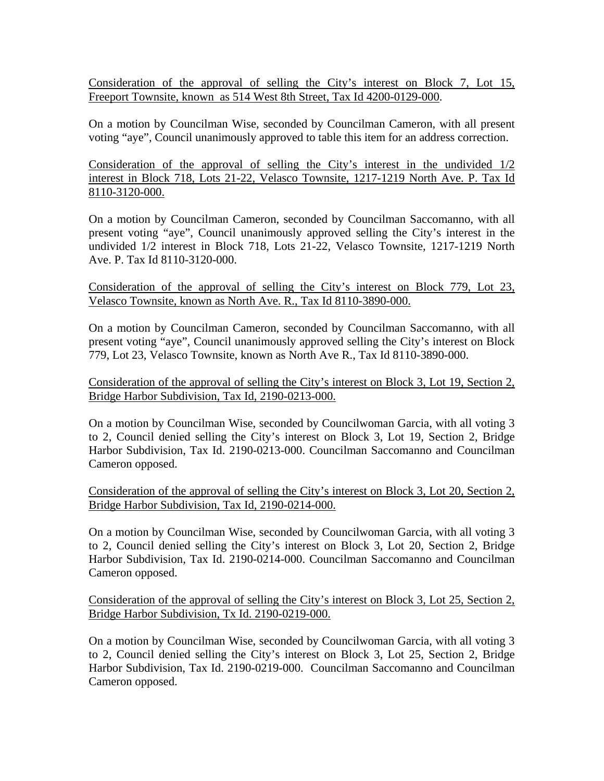Consideration of the approval of selling the City's interest on Block 7, Lot 15, Freeport Townsite, known as 514 West 8th Street, Tax Id 4200-0129-000.

On a motion by Councilman Wise, seconded by Councilman Cameron, with all present voting "aye", Council unanimously approved to table this item for an address correction.

Consideration of the approval of selling the City's interest in the undivided 1/2 interest in Block 718, Lots 21-22, Velasco Townsite, 1217-1219 North Ave. P. Tax Id 8110-3120-000.

On a motion by Councilman Cameron, seconded by Councilman Saccomanno, with all present voting "aye", Council unanimously approved selling the City's interest in the undivided 1/2 interest in Block 718, Lots 21-22, Velasco Townsite, 1217-1219 North Ave. P. Tax Id 8110-3120-000.

Consideration of the approval of selling the City's interest on Block 779, Lot 23, Velasco Townsite, known as North Ave. R., Tax Id 8110-3890-000.

On a motion by Councilman Cameron, seconded by Councilman Saccomanno, with all present voting "aye", Council unanimously approved selling the City's interest on Block 779, Lot 23, Velasco Townsite, known as North Ave R., Tax Id 8110-3890-000.

Consideration of the approval of selling the City's interest on Block 3, Lot 19, Section 2, Bridge Harbor Subdivision, Tax Id, 2190-0213-000.

On a motion by Councilman Wise, seconded by Councilwoman Garcia, with all voting 3 to 2, Council denied selling the City's interest on Block 3, Lot 19, Section 2, Bridge Harbor Subdivision, Tax Id. 2190-0213-000. Councilman Saccomanno and Councilman Cameron opposed.

Consideration of the approval of selling the City's interest on Block 3, Lot 20, Section 2, Bridge Harbor Subdivision, Tax Id, 2190-0214-000.

On a motion by Councilman Wise, seconded by Councilwoman Garcia, with all voting 3 to 2, Council denied selling the City's interest on Block 3, Lot 20, Section 2, Bridge Harbor Subdivision, Tax Id. 2190-0214-000. Councilman Saccomanno and Councilman Cameron opposed.

Consideration of the approval of selling the City's interest on Block 3, Lot 25, Section 2, Bridge Harbor Subdivision, Tx Id. 2190-0219-000.

On a motion by Councilman Wise, seconded by Councilwoman Garcia, with all voting 3 to 2, Council denied selling the City's interest on Block 3, Lot 25, Section 2, Bridge Harbor Subdivision, Tax Id. 2190-0219-000. Councilman Saccomanno and Councilman Cameron opposed.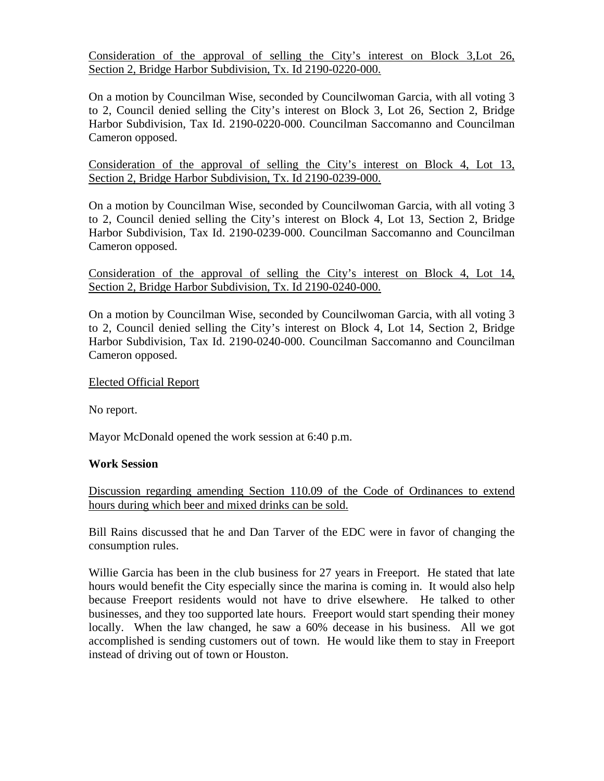Consideration of the approval of selling the City's interest on Block 3,Lot 26, Section 2, Bridge Harbor Subdivision, Tx. Id 2190-0220-000.

On a motion by Councilman Wise, seconded by Councilwoman Garcia, with all voting 3 to 2, Council denied selling the City's interest on Block 3, Lot 26, Section 2, Bridge Harbor Subdivision, Tax Id. 2190-0220-000. Councilman Saccomanno and Councilman Cameron opposed.

Consideration of the approval of selling the City's interest on Block 4, Lot 13, Section 2, Bridge Harbor Subdivision, Tx. Id 2190-0239-000.

On a motion by Councilman Wise, seconded by Councilwoman Garcia, with all voting 3 to 2, Council denied selling the City's interest on Block 4, Lot 13, Section 2, Bridge Harbor Subdivision, Tax Id. 2190-0239-000. Councilman Saccomanno and Councilman Cameron opposed.

Consideration of the approval of selling the City's interest on Block 4, Lot 14, Section 2, Bridge Harbor Subdivision, Tx. Id 2190-0240-000.

On a motion by Councilman Wise, seconded by Councilwoman Garcia, with all voting 3 to 2, Council denied selling the City's interest on Block 4, Lot 14, Section 2, Bridge Harbor Subdivision, Tax Id. 2190-0240-000. Councilman Saccomanno and Councilman Cameron opposed.

### Elected Official Report

No report.

Mayor McDonald opened the work session at 6:40 p.m.

#### **Work Session**

Discussion regarding amending Section 110.09 of the Code of Ordinances to extend hours during which beer and mixed drinks can be sold.

Bill Rains discussed that he and Dan Tarver of the EDC were in favor of changing the consumption rules.

Willie Garcia has been in the club business for 27 years in Freeport. He stated that late hours would benefit the City especially since the marina is coming in. It would also help because Freeport residents would not have to drive elsewhere. He talked to other businesses, and they too supported late hours. Freeport would start spending their money locally. When the law changed, he saw a 60% decease in his business. All we got accomplished is sending customers out of town. He would like them to stay in Freeport instead of driving out of town or Houston.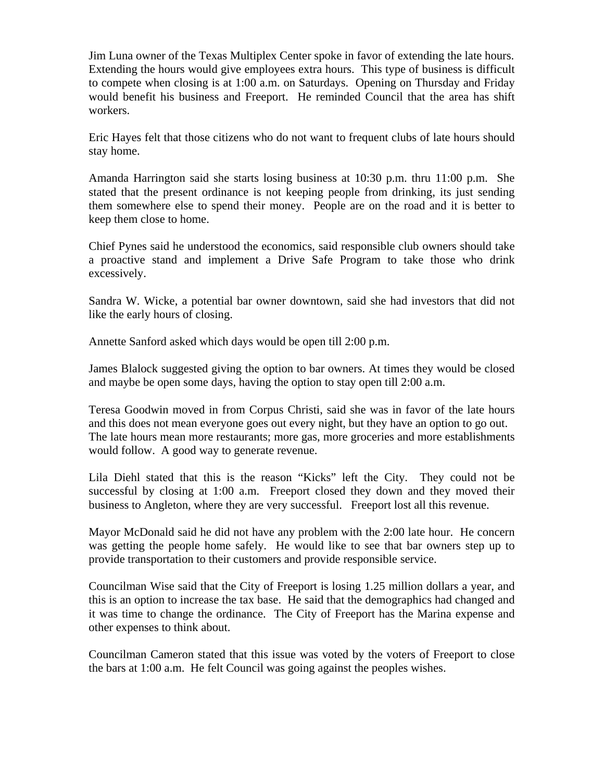Jim Luna owner of the Texas Multiplex Center spoke in favor of extending the late hours. Extending the hours would give employees extra hours. This type of business is difficult to compete when closing is at 1:00 a.m. on Saturdays. Opening on Thursday and Friday would benefit his business and Freeport. He reminded Council that the area has shift workers.

Eric Hayes felt that those citizens who do not want to frequent clubs of late hours should stay home.

Amanda Harrington said she starts losing business at 10:30 p.m. thru 11:00 p.m. She stated that the present ordinance is not keeping people from drinking, its just sending them somewhere else to spend their money. People are on the road and it is better to keep them close to home.

Chief Pynes said he understood the economics, said responsible club owners should take a proactive stand and implement a Drive Safe Program to take those who drink excessively.

Sandra W. Wicke, a potential bar owner downtown, said she had investors that did not like the early hours of closing.

Annette Sanford asked which days would be open till 2:00 p.m.

James Blalock suggested giving the option to bar owners. At times they would be closed and maybe be open some days, having the option to stay open till 2:00 a.m.

Teresa Goodwin moved in from Corpus Christi, said she was in favor of the late hours and this does not mean everyone goes out every night, but they have an option to go out. The late hours mean more restaurants; more gas, more groceries and more establishments would follow. A good way to generate revenue.

Lila Diehl stated that this is the reason "Kicks" left the City. They could not be successful by closing at 1:00 a.m. Freeport closed they down and they moved their business to Angleton, where they are very successful. Freeport lost all this revenue.

Mayor McDonald said he did not have any problem with the 2:00 late hour. He concern was getting the people home safely. He would like to see that bar owners step up to provide transportation to their customers and provide responsible service.

Councilman Wise said that the City of Freeport is losing 1.25 million dollars a year, and this is an option to increase the tax base. He said that the demographics had changed and it was time to change the ordinance. The City of Freeport has the Marina expense and other expenses to think about.

Councilman Cameron stated that this issue was voted by the voters of Freeport to close the bars at 1:00 a.m. He felt Council was going against the peoples wishes.